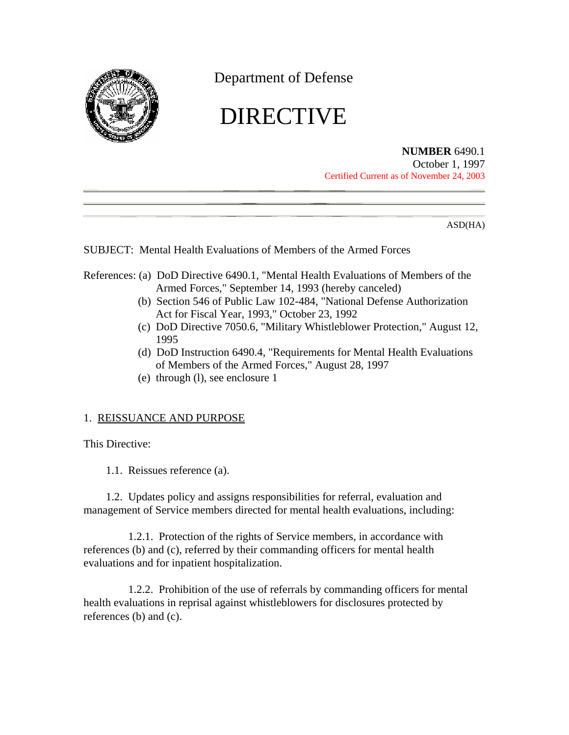

Department of Defense

# DIRECTIVE

**NUMBER** 6490.1

October 1, 1997 Certified Current as of November 24, 2003

ASD(HA)

SUBJECT: Mental Health Evaluations of Members of the Armed Forces

- References: (a) DoD Directive 6490.1, "Mental Health Evaluations of Members of the Armed Forces," September 14, 1993 (hereby canceled)
	- (b) Section 546 of Public Law 102-484, "National Defense Authorization Act for Fiscal Year, 1993," October 23, 1992
	- (c) DoD Directive 7050.6, "Military Whistleblower Protection," August 12, 1995
	- (d) DoD Instruction 6490.4, "Requirements for Mental Health Evaluations of Members of the Armed Forces," August 28, 1997
	- (e) through (l), see enclosure 1

# 1. REISSUANCE AND PURPOSE

This Directive:

1.1. Reissues reference (a).

1.2. Updates policy and assigns responsibilities for referral, evaluation and management of Service members directed for mental health evaluations, including:

1.2.1. Protection of the rights of Service members, in accordance with references (b) and (c), referred by their commanding officers for mental health evaluations and for inpatient hospitalization.

1.2.2. Prohibition of the use of referrals by commanding officers for mental health evaluations in reprisal against whistleblowers for disclosures protected by references (b) and (c).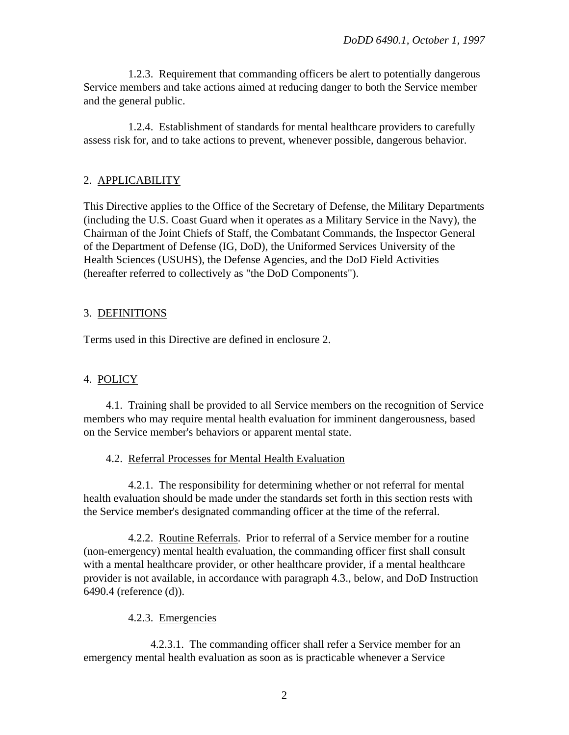1.2.3. Requirement that commanding officers be alert to potentially dangerous Service members and take actions aimed at reducing danger to both the Service member and the general public.

1.2.4. Establishment of standards for mental healthcare providers to carefully assess risk for, and to take actions to prevent, whenever possible, dangerous behavior.

## 2. APPLICABILITY

This Directive applies to the Office of the Secretary of Defense, the Military Departments (including the U.S. Coast Guard when it operates as a Military Service in the Navy), the Chairman of the Joint Chiefs of Staff, the Combatant Commands, the Inspector General of the Department of Defense (IG, DoD), the Uniformed Services University of the Health Sciences (USUHS), the Defense Agencies, and the DoD Field Activities (hereafter referred to collectively as "the DoD Components").

## 3. DEFINITIONS

Terms used in this Directive are defined in enclosure 2.

# 4. POLICY

4.1. Training shall be provided to all Service members on the recognition of Service members who may require mental health evaluation for imminent dangerousness, based on the Service member's behaviors or apparent mental state.

### 4.2. Referral Processes for Mental Health Evaluation

4.2.1. The responsibility for determining whether or not referral for mental health evaluation should be made under the standards set forth in this section rests with the Service member's designated commanding officer at the time of the referral.

4.2.2. Routine Referrals. Prior to referral of a Service member for a routine (non-emergency) mental health evaluation, the commanding officer first shall consult with a mental healthcare provider, or other healthcare provider, if a mental healthcare provider is not available, in accordance with paragraph 4.3., below, and DoD Instruction 6490.4 (reference (d)).

# 4.2.3. Emergencies

4.2.3.1. The commanding officer shall refer a Service member for an emergency mental health evaluation as soon as is practicable whenever a Service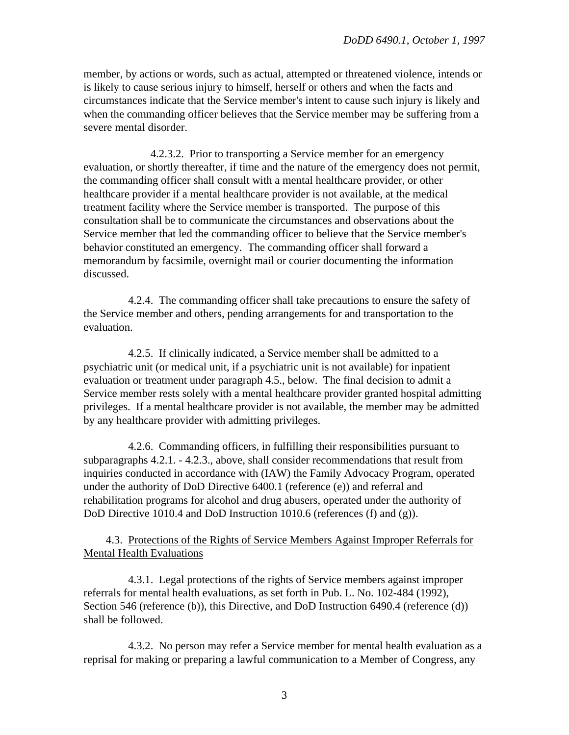member, by actions or words, such as actual, attempted or threatened violence, intends or is likely to cause serious injury to himself, herself or others and when the facts and circumstances indicate that the Service member's intent to cause such injury is likely and when the commanding officer believes that the Service member may be suffering from a severe mental disorder.

4.2.3.2. Prior to transporting a Service member for an emergency evaluation, or shortly thereafter, if time and the nature of the emergency does not permit, the commanding officer shall consult with a mental healthcare provider, or other healthcare provider if a mental healthcare provider is not available, at the medical treatment facility where the Service member is transported. The purpose of this consultation shall be to communicate the circumstances and observations about the Service member that led the commanding officer to believe that the Service member's behavior constituted an emergency. The commanding officer shall forward a memorandum by facsimile, overnight mail or courier documenting the information discussed.

4.2.4. The commanding officer shall take precautions to ensure the safety of the Service member and others, pending arrangements for and transportation to the evaluation.

4.2.5. If clinically indicated, a Service member shall be admitted to a psychiatric unit (or medical unit, if a psychiatric unit is not available) for inpatient evaluation or treatment under paragraph 4.5., below. The final decision to admit a Service member rests solely with a mental healthcare provider granted hospital admitting privileges. If a mental healthcare provider is not available, the member may be admitted by any healthcare provider with admitting privileges.

4.2.6. Commanding officers, in fulfilling their responsibilities pursuant to subparagraphs 4.2.1. - 4.2.3., above, shall consider recommendations that result from inquiries conducted in accordance with (IAW) the Family Advocacy Program, operated under the authority of DoD Directive 6400.1 (reference (e)) and referral and rehabilitation programs for alcohol and drug abusers, operated under the authority of DoD Directive 1010.4 and DoD Instruction 1010.6 (references (f) and (g)).

4.3. Protections of the Rights of Service Members Against Improper Referrals for Mental Health Evaluations

4.3.1. Legal protections of the rights of Service members against improper referrals for mental health evaluations, as set forth in Pub. L. No. 102-484 (1992), Section 546 (reference (b)), this Directive, and DoD Instruction 6490.4 (reference (d)) shall be followed.

4.3.2. No person may refer a Service member for mental health evaluation as a reprisal for making or preparing a lawful communication to a Member of Congress, any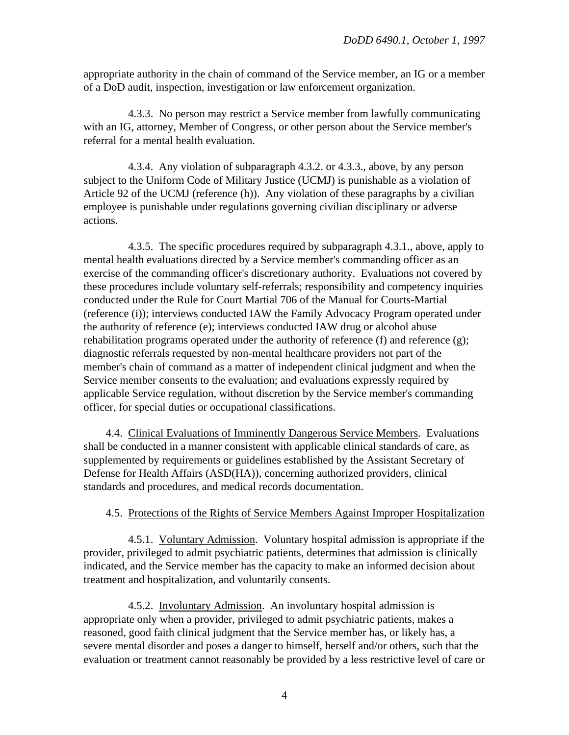appropriate authority in the chain of command of the Service member, an IG or a member of a DoD audit, inspection, investigation or law enforcement organization.

4.3.3. No person may restrict a Service member from lawfully communicating with an IG, attorney, Member of Congress, or other person about the Service member's referral for a mental health evaluation.

4.3.4. Any violation of subparagraph 4.3.2. or 4.3.3., above, by any person subject to the Uniform Code of Military Justice (UCMJ) is punishable as a violation of Article 92 of the UCMJ (reference (h)). Any violation of these paragraphs by a civilian employee is punishable under regulations governing civilian disciplinary or adverse actions.

4.3.5. The specific procedures required by subparagraph 4.3.1., above, apply to mental health evaluations directed by a Service member's commanding officer as an exercise of the commanding officer's discretionary authority. Evaluations not covered by these procedures include voluntary self-referrals; responsibility and competency inquiries conducted under the Rule for Court Martial 706 of the Manual for Courts-Martial (reference (i)); interviews conducted IAW the Family Advocacy Program operated under the authority of reference (e); interviews conducted IAW drug or alcohol abuse rehabilitation programs operated under the authority of reference (f) and reference  $(g)$ ; diagnostic referrals requested by non-mental healthcare providers not part of the member's chain of command as a matter of independent clinical judgment and when the Service member consents to the evaluation; and evaluations expressly required by applicable Service regulation, without discretion by the Service member's commanding officer, for special duties or occupational classifications.

4.4. Clinical Evaluations of Imminently Dangerous Service Members. Evaluations shall be conducted in a manner consistent with applicable clinical standards of care, as supplemented by requirements or guidelines established by the Assistant Secretary of Defense for Health Affairs (ASD(HA)), concerning authorized providers, clinical standards and procedures, and medical records documentation.

#### 4.5. Protections of the Rights of Service Members Against Improper Hospitalization

4.5.1. Voluntary Admission. Voluntary hospital admission is appropriate if the provider, privileged to admit psychiatric patients, determines that admission is clinically indicated, and the Service member has the capacity to make an informed decision about treatment and hospitalization, and voluntarily consents.

4.5.2. Involuntary Admission. An involuntary hospital admission is appropriate only when a provider, privileged to admit psychiatric patients, makes a reasoned, good faith clinical judgment that the Service member has, or likely has, a severe mental disorder and poses a danger to himself, herself and/or others, such that the evaluation or treatment cannot reasonably be provided by a less restrictive level of care or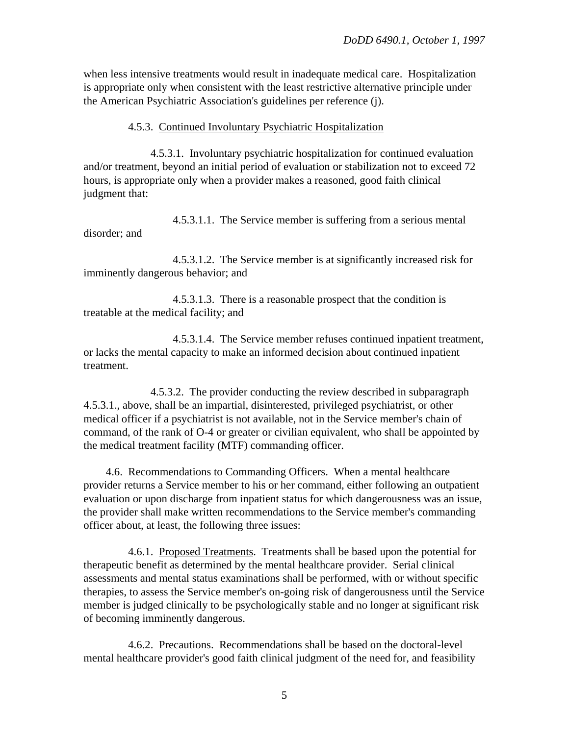when less intensive treatments would result in inadequate medical care. Hospitalization is appropriate only when consistent with the least restrictive alternative principle under the American Psychiatric Association's guidelines per reference (j).

4.5.3. Continued Involuntary Psychiatric Hospitalization

4.5.3.1. Involuntary psychiatric hospitalization for continued evaluation and/or treatment, beyond an initial period of evaluation or stabilization not to exceed 72 hours, is appropriate only when a provider makes a reasoned, good faith clinical judgment that:

4.5.3.1.1. The Service member is suffering from a serious mental disorder; and

4.5.3.1.2. The Service member is at significantly increased risk for imminently dangerous behavior; and

4.5.3.1.3. There is a reasonable prospect that the condition is treatable at the medical facility; and

4.5.3.1.4. The Service member refuses continued inpatient treatment, or lacks the mental capacity to make an informed decision about continued inpatient treatment.

4.5.3.2. The provider conducting the review described in subparagraph 4.5.3.1., above, shall be an impartial, disinterested, privileged psychiatrist, or other medical officer if a psychiatrist is not available, not in the Service member's chain of command, of the rank of O-4 or greater or civilian equivalent, who shall be appointed by the medical treatment facility (MTF) commanding officer.

4.6. Recommendations to Commanding Officers. When a mental healthcare provider returns a Service member to his or her command, either following an outpatient evaluation or upon discharge from inpatient status for which dangerousness was an issue, the provider shall make written recommendations to the Service member's commanding officer about, at least, the following three issues:

4.6.1. Proposed Treatments. Treatments shall be based upon the potential for therapeutic benefit as determined by the mental healthcare provider. Serial clinical assessments and mental status examinations shall be performed, with or without specific therapies, to assess the Service member's on-going risk of dangerousness until the Service member is judged clinically to be psychologically stable and no longer at significant risk of becoming imminently dangerous.

4.6.2. Precautions. Recommendations shall be based on the doctoral-level mental healthcare provider's good faith clinical judgment of the need for, and feasibility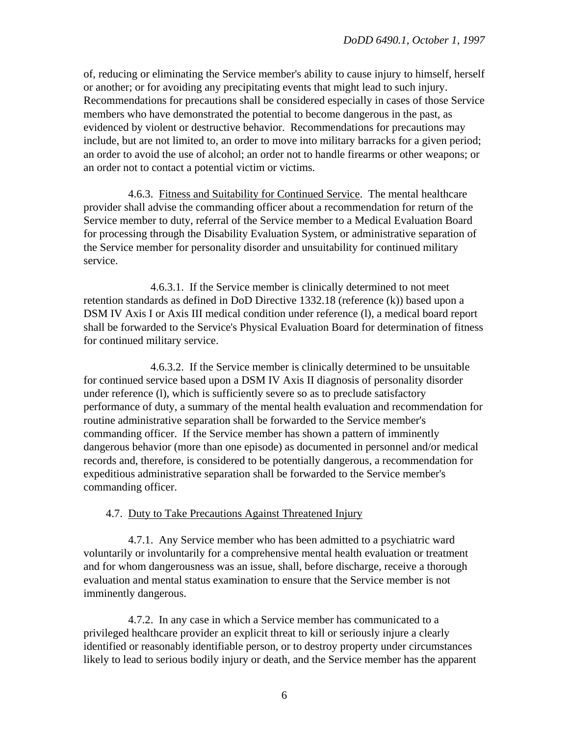of, reducing or eliminating the Service member's ability to cause injury to himself, herself or another; or for avoiding any precipitating events that might lead to such injury. Recommendations for precautions shall be considered especially in cases of those Service members who have demonstrated the potential to become dangerous in the past, as evidenced by violent or destructive behavior. Recommendations for precautions may include, but are not limited to, an order to move into military barracks for a given period; an order to avoid the use of alcohol; an order not to handle firearms or other weapons; or an order not to contact a potential victim or victims.

4.6.3. Fitness and Suitability for Continued Service. The mental healthcare provider shall advise the commanding officer about a recommendation for return of the Service member to duty, referral of the Service member to a Medical Evaluation Board for processing through the Disability Evaluation System, or administrative separation of the Service member for personality disorder and unsuitability for continued military service.

4.6.3.1. If the Service member is clinically determined to not meet retention standards as defined in DoD Directive 1332.18 (reference (k)) based upon a DSM IV Axis I or Axis III medical condition under reference (1), a medical board report shall be forwarded to the Service's Physical Evaluation Board for determination of fitness for continued military service.

4.6.3.2. If the Service member is clinically determined to be unsuitable for continued service based upon a DSM IV Axis II diagnosis of personality disorder under reference (l), which is sufficiently severe so as to preclude satisfactory performance of duty, a summary of the mental health evaluation and recommendation for routine administrative separation shall be forwarded to the Service member's commanding officer. If the Service member has shown a pattern of imminently dangerous behavior (more than one episode) as documented in personnel and/or medical records and, therefore, is considered to be potentially dangerous, a recommendation for expeditious administrative separation shall be forwarded to the Service member's commanding officer.

### 4.7. Duty to Take Precautions Against Threatened Injury

4.7.1. Any Service member who has been admitted to a psychiatric ward voluntarily or involuntarily for a comprehensive mental health evaluation or treatment and for whom dangerousness was an issue, shall, before discharge, receive a thorough evaluation and mental status examination to ensure that the Service member is not imminently dangerous.

4.7.2. In any case in which a Service member has communicated to a privileged healthcare provider an explicit threat to kill or seriously injure a clearly identified or reasonably identifiable person, or to destroy property under circumstances likely to lead to serious bodily injury or death, and the Service member has the apparent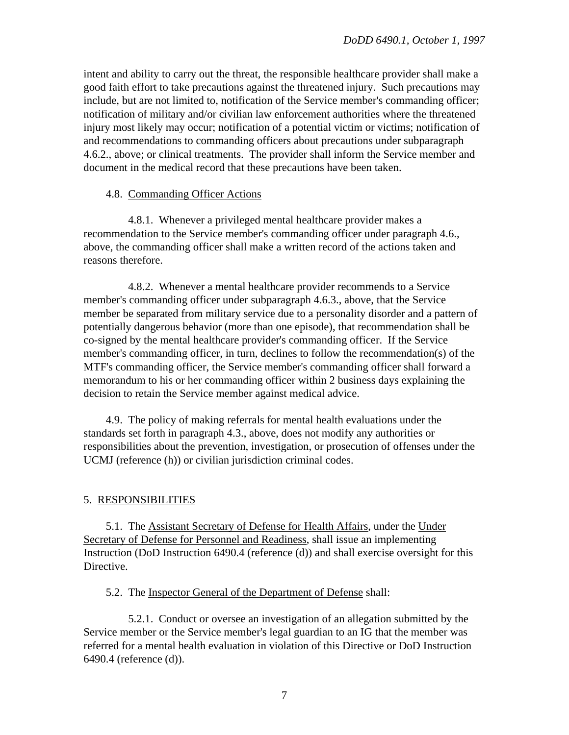intent and ability to carry out the threat, the responsible healthcare provider shall make a good faith effort to take precautions against the threatened injury. Such precautions may include, but are not limited to, notification of the Service member's commanding officer; notification of military and/or civilian law enforcement authorities where the threatened injury most likely may occur; notification of a potential victim or victims; notification of and recommendations to commanding officers about precautions under subparagraph 4.6.2., above; or clinical treatments. The provider shall inform the Service member and document in the medical record that these precautions have been taken.

#### 4.8. Commanding Officer Actions

4.8.1. Whenever a privileged mental healthcare provider makes a recommendation to the Service member's commanding officer under paragraph 4.6., above, the commanding officer shall make a written record of the actions taken and reasons therefore.

4.8.2. Whenever a mental healthcare provider recommends to a Service member's commanding officer under subparagraph 4.6.3., above, that the Service member be separated from military service due to a personality disorder and a pattern of potentially dangerous behavior (more than one episode), that recommendation shall be co-signed by the mental healthcare provider's commanding officer. If the Service member's commanding officer, in turn, declines to follow the recommendation(s) of the MTF's commanding officer, the Service member's commanding officer shall forward a memorandum to his or her commanding officer within 2 business days explaining the decision to retain the Service member against medical advice.

4.9. The policy of making referrals for mental health evaluations under the standards set forth in paragraph 4.3., above, does not modify any authorities or responsibilities about the prevention, investigation, or prosecution of offenses under the UCMJ (reference (h)) or civilian jurisdiction criminal codes.

### 5. RESPONSIBILITIES

5.1. The Assistant Secretary of Defense for Health Affairs, under the Under Secretary of Defense for Personnel and Readiness, shall issue an implementing Instruction (DoD Instruction 6490.4 (reference (d)) and shall exercise oversight for this Directive.

5.2. The Inspector General of the Department of Defense shall:

5.2.1. Conduct or oversee an investigation of an allegation submitted by the Service member or the Service member's legal guardian to an IG that the member was referred for a mental health evaluation in violation of this Directive or DoD Instruction 6490.4 (reference (d)).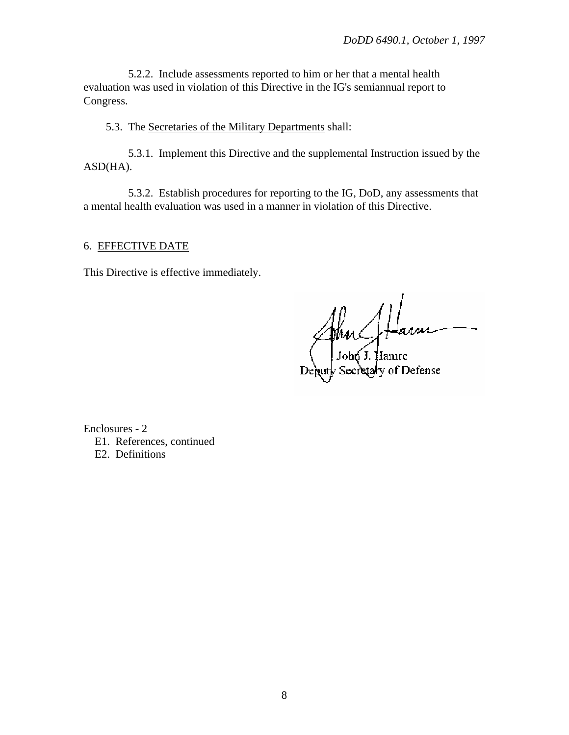5.2.2. Include assessments reported to him or her that a mental health evaluation was used in violation of this Directive in the IG's semiannual report to Congress.

5.3. The Secretaries of the Military Departments shall:

5.3.1. Implement this Directive and the supplemental Instruction issued by the ASD(HA).

5.3.2. Establish procedures for reporting to the IG, DoD, any assessments that a mental health evaluation was used in a manner in violation of this Directive.

# 6. EFFECTIVE DATE

This Directive is effective immediately.

Mus

of Defense

Enclosures - 2 E1. References, continued E2. Definitions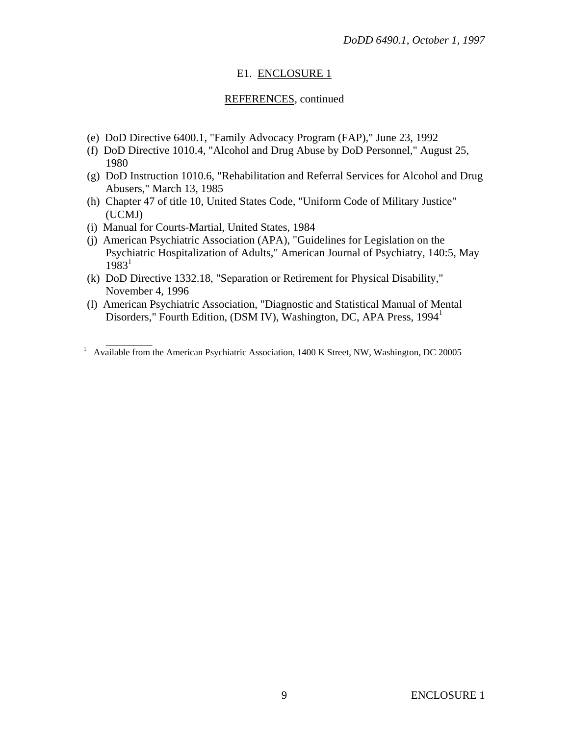## E1. ENCLOSURE 1

### REFERENCES, continued

- (e) DoD Directive 6400.1, "Family Advocacy Program (FAP)," June 23, 1992
- (f) DoD Directive 1010.4, "Alcohol and Drug Abuse by DoD Personnel," August 25, 1980
- (g) DoD Instruction 1010.6, "Rehabilitation and Referral Services for Alcohol and Drug Abusers," March 13, 1985
- (h) Chapter 47 of title 10, United States Code, "Uniform Code of Military Justice" (UCMJ)
- (i) Manual for Courts-Martial, United States, 1984
- (j) American Psychiatric Association (APA), "Guidelines for Legislation on the Psychiatric Hospitalization of Adults," American Journal of Psychiatry, 140:5, May  $1983^1$
- (k) DoD Directive 1332.18, "Separation or Retirement for Physical Disability," November 4, 1996
- (l) American Psychiatric Association, "Diagnostic and Statistical Manual of Mental Disorders," Fourth Edition, (DSM IV), Washington, DC, APA Press, 1994<sup>1</sup>

<sup>&</sup>lt;sup>1</sup> Available from the American Psychiatric Association, 1400 K Street, NW, Washington, DC 20005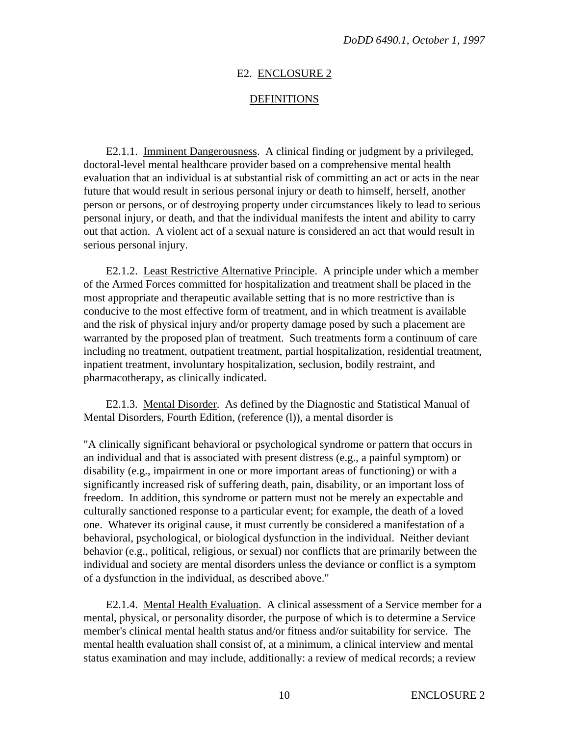### E2. ENCLOSURE 2

#### DEFINITIONS

E2.1.1. Imminent Dangerousness. A clinical finding or judgment by a privileged, doctoral-level mental healthcare provider based on a comprehensive mental health evaluation that an individual is at substantial risk of committing an act or acts in the near future that would result in serious personal injury or death to himself, herself, another person or persons, or of destroying property under circumstances likely to lead to serious personal injury, or death, and that the individual manifests the intent and ability to carry out that action. A violent act of a sexual nature is considered an act that would result in serious personal injury.

E2.1.2. Least Restrictive Alternative Principle. A principle under which a member of the Armed Forces committed for hospitalization and treatment shall be placed in the most appropriate and therapeutic available setting that is no more restrictive than is conducive to the most effective form of treatment, and in which treatment is available and the risk of physical injury and/or property damage posed by such a placement are warranted by the proposed plan of treatment. Such treatments form a continuum of care including no treatment, outpatient treatment, partial hospitalization, residential treatment, inpatient treatment, involuntary hospitalization, seclusion, bodily restraint, and pharmacotherapy, as clinically indicated.

E2.1.3. Mental Disorder. As defined by the Diagnostic and Statistical Manual of Mental Disorders, Fourth Edition, (reference (l)), a mental disorder is

"A clinically significant behavioral or psychological syndrome or pattern that occurs in an individual and that is associated with present distress (e.g., a painful symptom) or disability (e.g., impairment in one or more important areas of functioning) or with a significantly increased risk of suffering death, pain, disability, or an important loss of freedom. In addition, this syndrome or pattern must not be merely an expectable and culturally sanctioned response to a particular event; for example, the death of a loved one. Whatever its original cause, it must currently be considered a manifestation of a behavioral, psychological, or biological dysfunction in the individual. Neither deviant behavior (e.g., political, religious, or sexual) nor conflicts that are primarily between the individual and society are mental disorders unless the deviance or conflict is a symptom of a dysfunction in the individual, as described above."

E2.1.4. Mental Health Evaluation. A clinical assessment of a Service member for a mental, physical, or personality disorder, the purpose of which is to determine a Service member's clinical mental health status and/or fitness and/or suitability for service. The mental health evaluation shall consist of, at a minimum, a clinical interview and mental status examination and may include, additionally: a review of medical records; a review